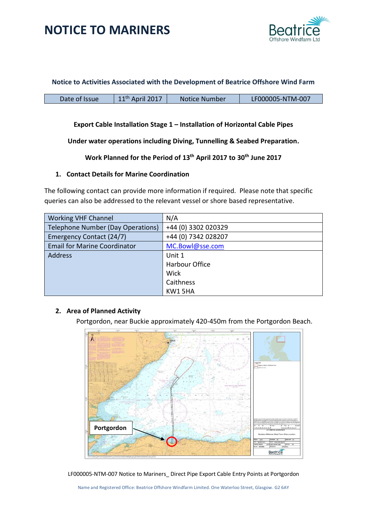

#### **Notice to Activities Associated with the Development of Beatrice Offshore Wind Farm**

| Date of Issue | $11th$ April 2017 | Notice Number | LF000005-NTM-007 |
|---------------|-------------------|---------------|------------------|
|---------------|-------------------|---------------|------------------|

### **Export Cable Installation Stage 1 – Installation of Horizontal Cable Pipes**

**Under water operations including Diving, Tunnelling & Seabed Preparation.**

## **Work Planned for the Period of 13th April 2017 to 30th June 2017**

#### **1. Contact Details for Marine Coordination**

The following contact can provide more information if required. Please note that specific queries can also be addressed to the relevant vessel or shore based representative.

| <b>Working VHF Channel</b>          | N/A                   |
|-------------------------------------|-----------------------|
| Telephone Number (Day Operations)   | +44 (0) 3302 020329   |
| Emergency Contact (24/7)            | +44 (0) 7342 028207   |
| <b>Email for Marine Coordinator</b> | MC.Bowl@sse.com       |
| Address                             | Unit 1                |
|                                     | <b>Harbour Office</b> |
|                                     | Wick                  |
|                                     | Caithness             |
|                                     | KW15HA                |

### **2. Area of Planned Activity**

Portgordon, near Buckie approximately 420-450m from the Portgordon Beach.



LF000005-NTM-007 Notice to Mariners\_ Direct Pipe Export Cable Entry Points at Portgordon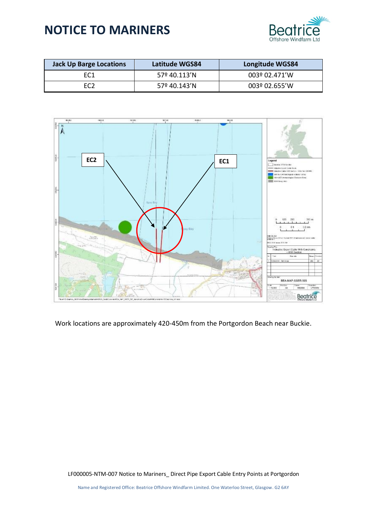

| <b>Jack Up Barge Locations</b> | Latitude WGS84 | Longitude WGS84 |
|--------------------------------|----------------|-----------------|
| EC1                            | 57º 40.113'N   | 003902.471'W    |
| EC <sub>2</sub>                | $57940.143'$ N | 003º 02.655'W   |



Work locations are approximately 420-450m from the Portgordon Beach near Buckie.

LF000005-NTM-007 Notice to Mariners\_ Direct Pipe Export Cable Entry Points at Portgordon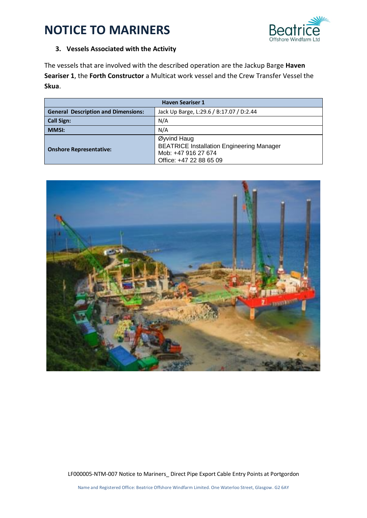

#### **3. Vessels Associated with the Activity**

The vessels that are involved with the described operation are the Jackup Barge **Haven Seariser 1**, the **Forth Constructor** a Multicat work vessel and the Crew Transfer Vessel the **Skua**.

| <b>Haven Seariser 1</b>                    |                                                                                                                   |  |
|--------------------------------------------|-------------------------------------------------------------------------------------------------------------------|--|
| <b>General Description and Dimensions:</b> | Jack Up Barge, L:29.6 / B:17.07 / D:2.44                                                                          |  |
| <b>Call Sign:</b>                          | N/A                                                                                                               |  |
| <b>MMSI:</b>                               | N/A                                                                                                               |  |
| <b>Onshore Representative:</b>             | Øyvind Haug<br><b>BEATRICE Installation Engineering Manager</b><br>Mob: +47 916 27 674<br>Office: +47 22 88 65 09 |  |



LF000005-NTM-007 Notice to Mariners\_ Direct Pipe Export Cable Entry Points at Portgordon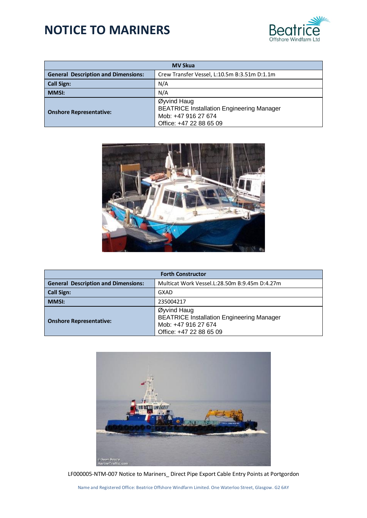

| <b>MV Skua</b>                             |                                                                                                                   |  |
|--------------------------------------------|-------------------------------------------------------------------------------------------------------------------|--|
| <b>General Description and Dimensions:</b> | Crew Transfer Vessel, L:10.5m B:3.51m D:1.1m                                                                      |  |
| <b>Call Sign:</b>                          | N/A                                                                                                               |  |
| <b>MMSI:</b>                               | N/A                                                                                                               |  |
| <b>Onshore Representative:</b>             | Øyvind Haug<br><b>BEATRICE Installation Engineering Manager</b><br>Mob: +47 916 27 674<br>Office: +47 22 88 65 09 |  |



| <b>Forth Constructor</b>                   |                                                                                                                   |  |
|--------------------------------------------|-------------------------------------------------------------------------------------------------------------------|--|
| <b>General Description and Dimensions:</b> | Multicat Work Vessel.L:28.50m B:9.45m D:4.27m                                                                     |  |
| <b>Call Sign:</b>                          | GXAD                                                                                                              |  |
| <b>MMSI:</b>                               | 235004217                                                                                                         |  |
| <b>Onshore Representative:</b>             | Øyvind Haug<br><b>BEATRICE Installation Engineering Manager</b><br>Mob: +47 916 27 674<br>Office: +47 22 88 65 09 |  |



LF000005-NTM-007 Notice to Mariners\_ Direct Pipe Export Cable Entry Points at Portgordon

Name and Registered Office: Beatrice Offshore Windfarm Limited. One Waterloo Street, Glasgow. G2 6AY